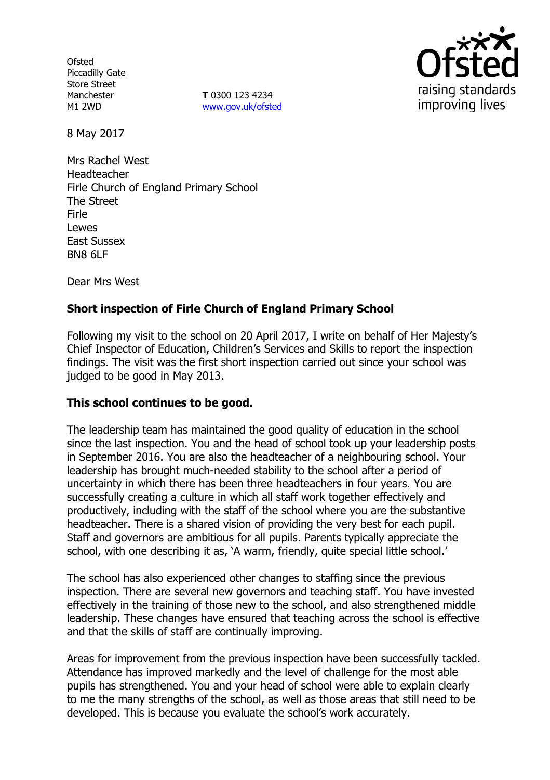**Ofsted** Piccadilly Gate Store Street Manchester M1 2WD

**T** 0300 123 4234 www.gov.uk/ofsted



8 May 2017

Mrs Rachel West Headteacher Firle Church of England Primary School The Street Firle Lewes East Sussex BN8 6LF

Dear Mrs West

# **Short inspection of Firle Church of England Primary School**

Following my visit to the school on 20 April 2017, I write on behalf of Her Majesty's Chief Inspector of Education, Children's Services and Skills to report the inspection findings. The visit was the first short inspection carried out since your school was judged to be good in May 2013.

## **This school continues to be good.**

The leadership team has maintained the good quality of education in the school since the last inspection. You and the head of school took up your leadership posts in September 2016. You are also the headteacher of a neighbouring school. Your leadership has brought much-needed stability to the school after a period of uncertainty in which there has been three headteachers in four years. You are successfully creating a culture in which all staff work together effectively and productively, including with the staff of the school where you are the substantive headteacher. There is a shared vision of providing the very best for each pupil. Staff and governors are ambitious for all pupils. Parents typically appreciate the school, with one describing it as, 'A warm, friendly, quite special little school.'

The school has also experienced other changes to staffing since the previous inspection. There are several new governors and teaching staff. You have invested effectively in the training of those new to the school, and also strengthened middle leadership. These changes have ensured that teaching across the school is effective and that the skills of staff are continually improving.

Areas for improvement from the previous inspection have been successfully tackled. Attendance has improved markedly and the level of challenge for the most able pupils has strengthened. You and your head of school were able to explain clearly to me the many strengths of the school, as well as those areas that still need to be developed. This is because you evaluate the school's work accurately.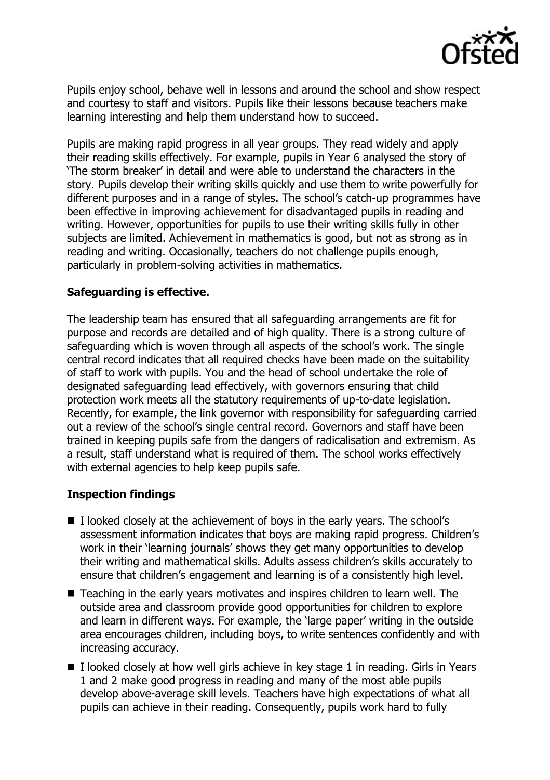

Pupils enjoy school, behave well in lessons and around the school and show respect and courtesy to staff and visitors. Pupils like their lessons because teachers make learning interesting and help them understand how to succeed.

Pupils are making rapid progress in all year groups. They read widely and apply their reading skills effectively. For example, pupils in Year 6 analysed the story of 'The storm breaker' in detail and were able to understand the characters in the story. Pupils develop their writing skills quickly and use them to write powerfully for different purposes and in a range of styles. The school's catch-up programmes have been effective in improving achievement for disadvantaged pupils in reading and writing. However, opportunities for pupils to use their writing skills fully in other subjects are limited. Achievement in mathematics is good, but not as strong as in reading and writing. Occasionally, teachers do not challenge pupils enough, particularly in problem-solving activities in mathematics.

## **Safeguarding is effective.**

The leadership team has ensured that all safeguarding arrangements are fit for purpose and records are detailed and of high quality. There is a strong culture of safeguarding which is woven through all aspects of the school's work. The single central record indicates that all required checks have been made on the suitability of staff to work with pupils. You and the head of school undertake the role of designated safeguarding lead effectively, with governors ensuring that child protection work meets all the statutory requirements of up-to-date legislation. Recently, for example, the link governor with responsibility for safeguarding carried out a review of the school's single central record. Governors and staff have been trained in keeping pupils safe from the dangers of radicalisation and extremism. As a result, staff understand what is required of them. The school works effectively with external agencies to help keep pupils safe.

# **Inspection findings**

- $\blacksquare$  I looked closely at the achievement of boys in the early years. The school's assessment information indicates that boys are making rapid progress. Children's work in their 'learning journals' shows they get many opportunities to develop their writing and mathematical skills. Adults assess children's skills accurately to ensure that children's engagement and learning is of a consistently high level.
- Teaching in the early years motivates and inspires children to learn well. The outside area and classroom provide good opportunities for children to explore and learn in different ways. For example, the 'large paper' writing in the outside area encourages children, including boys, to write sentences confidently and with increasing accuracy.
- I looked closely at how well girls achieve in key stage 1 in reading. Girls in Years 1 and 2 make good progress in reading and many of the most able pupils develop above-average skill levels. Teachers have high expectations of what all pupils can achieve in their reading. Consequently, pupils work hard to fully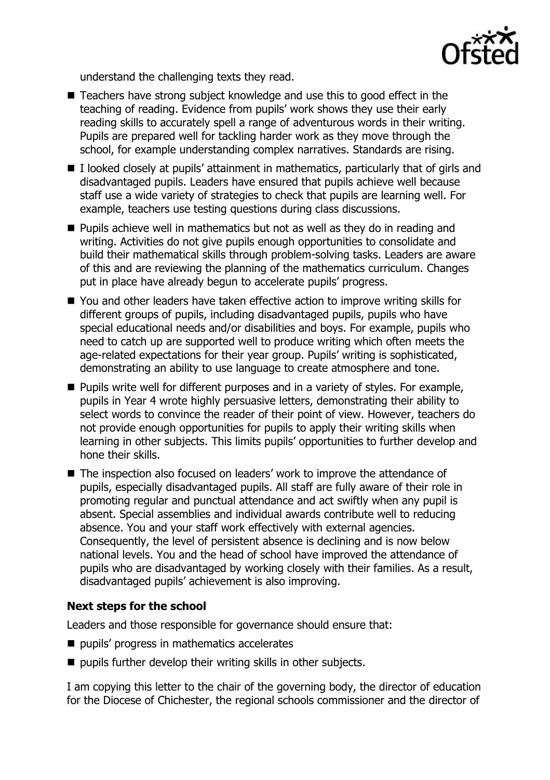

understand the challenging texts they read.

- Teachers have strong subject knowledge and use this to good effect in the teaching of reading. Evidence from pupils' work shows they use their early reading skills to accurately spell a range of adventurous words in their writing. Pupils are prepared well for tackling harder work as they move through the school, for example understanding complex narratives. Standards are rising.
- $\blacksquare$  I looked closely at pupils' attainment in mathematics, particularly that of girls and disadvantaged pupils. Leaders have ensured that pupils achieve well because staff use a wide variety of strategies to check that pupils are learning well. For example, teachers use testing questions during class discussions.
- **Pupils achieve well in mathematics but not as well as they do in reading and** writing. Activities do not give pupils enough opportunities to consolidate and build their mathematical skills through problem-solving tasks. Leaders are aware of this and are reviewing the planning of the mathematics curriculum. Changes put in place have already begun to accelerate pupils' progress.
- You and other leaders have taken effective action to improve writing skills for different groups of pupils, including disadvantaged pupils, pupils who have special educational needs and/or disabilities and boys. For example, pupils who need to catch up are supported well to produce writing which often meets the age-related expectations for their year group. Pupils' writing is sophisticated, demonstrating an ability to use language to create atmosphere and tone.
- $\blacksquare$  Pupils write well for different purposes and in a variety of styles. For example, pupils in Year 4 wrote highly persuasive letters, demonstrating their ability to select words to convince the reader of their point of view. However, teachers do not provide enough opportunities for pupils to apply their writing skills when learning in other subjects. This limits pupils' opportunities to further develop and hone their skills.
- The inspection also focused on leaders' work to improve the attendance of pupils, especially disadvantaged pupils. All staff are fully aware of their role in promoting regular and punctual attendance and act swiftly when any pupil is absent. Special assemblies and individual awards contribute well to reducing absence. You and your staff work effectively with external agencies. Consequently, the level of persistent absence is declining and is now below national levels. You and the head of school have improved the attendance of pupils who are disadvantaged by working closely with their families. As a result, disadvantaged pupils' achievement is also improving.

## **Next steps for the school**

Leaders and those responsible for governance should ensure that:

- pupils' progress in mathematics accelerates
- **pupils further develop their writing skills in other subjects.**

I am copying this letter to the chair of the governing body, the director of education for the Diocese of Chichester, the regional schools commissioner and the director of